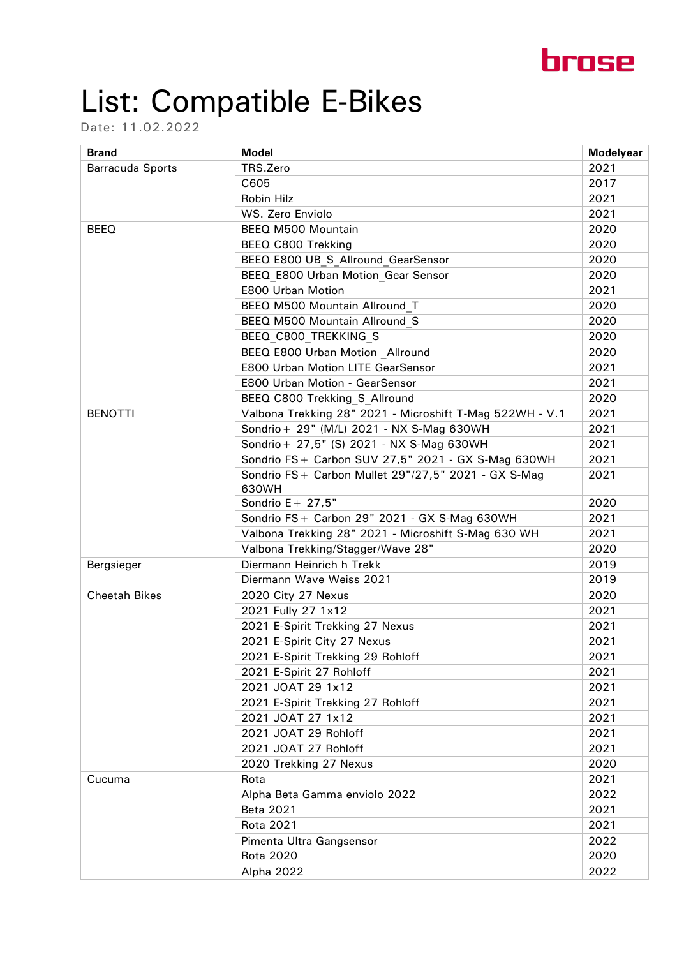

## List: Compatible E-Bikes

Date: 11.02.2022

| <b>Brand</b>            | <b>Model</b>                                                 | <b>Modelyear</b> |
|-------------------------|--------------------------------------------------------------|------------------|
| <b>Barracuda Sports</b> | TRS.Zero                                                     | 2021             |
|                         | C605                                                         | 2017             |
|                         | Robin Hilz                                                   | 2021             |
|                         | WS. Zero Enviolo                                             | 2021             |
| <b>BEEQ</b>             | BEEQ M500 Mountain                                           | 2020             |
|                         | BEEQ C800 Trekking                                           | 2020             |
|                         | BEEQ E800 UB S Allround GearSensor                           | 2020             |
|                         | BEEQ E800 Urban Motion Gear Sensor                           | 2020             |
|                         | E800 Urban Motion                                            | 2021             |
|                         | BEEQ M500 Mountain Allround T                                | 2020             |
|                         | BEEQ M500 Mountain Allround S                                | 2020             |
|                         | BEEQ C800 TREKKING S                                         | 2020             |
|                         | BEEQ E800 Urban Motion Allround                              | 2020             |
|                         | E800 Urban Motion LITE GearSensor                            | 2021             |
|                         | E800 Urban Motion - GearSensor                               | 2021             |
|                         | BEEQ C800 Trekking S Allround                                | 2020             |
| <b>BENOTTI</b>          | Valbona Trekking 28" 2021 - Microshift T-Mag 522WH - V.1     | 2021             |
|                         | Sondrio + 29" (M/L) 2021 - NX S-Mag 630WH                    | 2021             |
|                         | Sondrio + 27,5" (S) 2021 - NX S-Mag 630WH                    | 2021             |
|                         | Sondrio FS + Carbon SUV 27,5" 2021 - GX S-Mag 630WH          | 2021             |
|                         | Sondrio FS+ Carbon Mullet 29"/27,5" 2021 - GX S-Mag<br>630WH | 2021             |
|                         | Sondrio $E + 27.5$ "                                         | 2020             |
|                         | Sondrio FS + Carbon 29" 2021 - GX S-Mag 630WH                | 2021             |
|                         | Valbona Trekking 28" 2021 - Microshift S-Mag 630 WH          | 2021             |
|                         | Valbona Trekking/Stagger/Wave 28"                            | 2020             |
| Bergsieger              | Diermann Heinrich h Trekk                                    | 2019             |
|                         | Diermann Wave Weiss 2021                                     | 2019             |
| <b>Cheetah Bikes</b>    | 2020 City 27 Nexus                                           | 2020             |
|                         | 2021 Fully 27 1x12                                           | 2021             |
|                         | 2021 E-Spirit Trekking 27 Nexus                              | 2021             |
|                         | 2021 E-Spirit City 27 Nexus                                  | 2021             |
|                         | 2021 E-Spirit Trekking 29 Rohloff                            | 2021             |
|                         | 2021 E-Spirit 27 Rohloff                                     | 2021             |
|                         | 2021 JOAT 29 1x12                                            | 2021             |
|                         | 2021 E-Spirit Trekking 27 Rohloff                            | 2021             |
|                         | 2021 JOAT 27 1x12                                            | 2021             |
|                         | 2021 JOAT 29 Rohloff                                         | 2021             |
|                         | 2021 JOAT 27 Rohloff                                         | 2021             |
|                         | 2020 Trekking 27 Nexus                                       | 2020             |
| Cucuma                  | Rota                                                         | 2021             |
|                         | Alpha Beta Gamma enviolo 2022                                | 2022             |
|                         | <b>Beta 2021</b>                                             | 2021             |
|                         | <b>Rota 2021</b>                                             | 2021             |
|                         | Pimenta Ultra Gangsensor                                     | 2022             |
|                         | <b>Rota 2020</b>                                             | 2020             |
|                         | Alpha 2022                                                   | 2022             |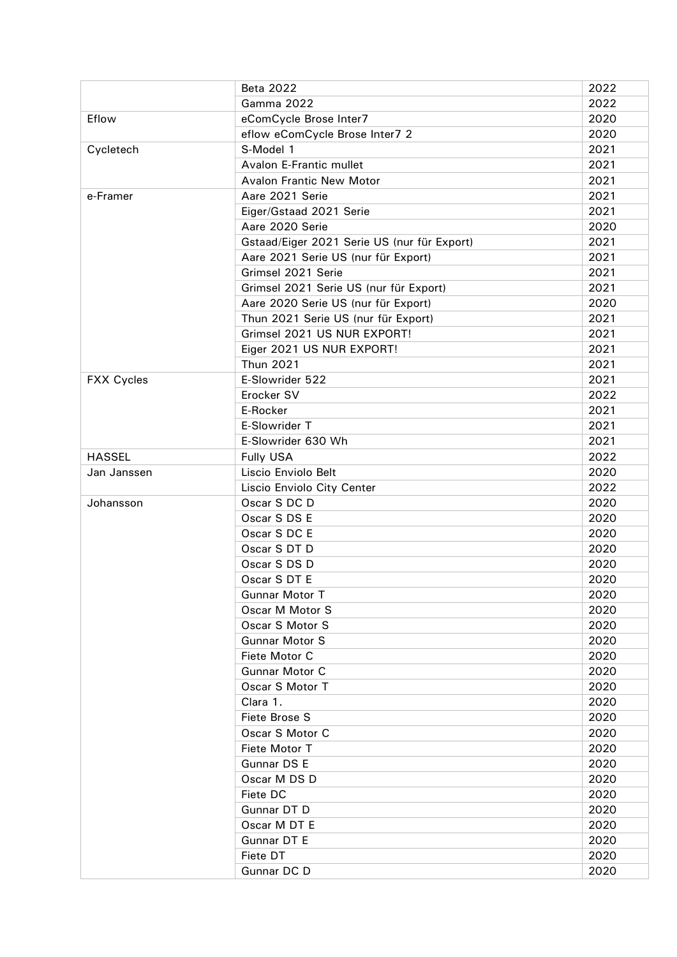|                   | <b>Beta 2022</b>                            | 2022 |
|-------------------|---------------------------------------------|------|
|                   | <b>Gamma 2022</b>                           | 2022 |
| Eflow             | eComCycle Brose Inter7                      | 2020 |
|                   | eflow eComCycle Brose Inter7 2              | 2020 |
| Cycletech         | S-Model 1                                   | 2021 |
|                   | Avalon E-Frantic mullet                     | 2021 |
|                   | <b>Avalon Frantic New Motor</b>             | 2021 |
| e-Framer          | Aare 2021 Serie                             | 2021 |
|                   | Eiger/Gstaad 2021 Serie                     | 2021 |
|                   | Aare 2020 Serie                             | 2020 |
|                   | Gstaad/Eiger 2021 Serie US (nur für Export) | 2021 |
|                   | Aare 2021 Serie US (nur für Export)         | 2021 |
|                   | Grimsel 2021 Serie                          | 2021 |
|                   | Grimsel 2021 Serie US (nur für Export)      | 2021 |
|                   | Aare 2020 Serie US (nur für Export)         | 2020 |
|                   | Thun 2021 Serie US (nur für Export)         | 2021 |
|                   | Grimsel 2021 US NUR EXPORT!                 | 2021 |
|                   | Eiger 2021 US NUR EXPORT!                   | 2021 |
|                   | <b>Thun 2021</b>                            | 2021 |
| <b>FXX Cycles</b> | E-Slowrider 522                             | 2021 |
|                   | Erocker SV                                  | 2022 |
|                   | E-Rocker                                    | 2021 |
|                   | E-Slowrider T                               | 2021 |
|                   | E-Slowrider 630 Wh                          | 2021 |
| <b>HASSEL</b>     | <b>Fully USA</b>                            | 2022 |
| Jan Janssen       | Liscio Enviolo Belt                         | 2020 |
|                   | Liscio Enviolo City Center                  | 2022 |
| Johansson         | Oscar S DC D                                | 2020 |
|                   | Oscar S DS E                                | 2020 |
|                   | Oscar S DC E                                | 2020 |
|                   | Oscar S DT D                                | 2020 |
|                   | Oscar S DS D                                | 2020 |
|                   | Oscar S DT E                                | 2020 |
|                   | Gunnar Motor T                              | 2020 |
|                   | Oscar M Motor S                             | 2020 |
|                   | Oscar S Motor S                             | 2020 |
|                   | <b>Gunnar Motor S</b>                       | 2020 |
|                   | Fiete Motor C                               | 2020 |
|                   | Gunnar Motor C                              | 2020 |
|                   | Oscar S Motor T                             | 2020 |
|                   | Clara 1.                                    | 2020 |
|                   | Fiete Brose S                               | 2020 |
|                   | Oscar S Motor C                             | 2020 |
|                   | Fiete Motor T                               | 2020 |
|                   | Gunnar DS E                                 | 2020 |
|                   | Oscar M DS D                                | 2020 |
|                   | Fiete DC                                    | 2020 |
|                   | Gunnar DT D                                 | 2020 |
|                   | Oscar M DT E                                | 2020 |
|                   | Gunnar DT E                                 | 2020 |
|                   | Fiete DT                                    | 2020 |
|                   | Gunnar DC D                                 | 2020 |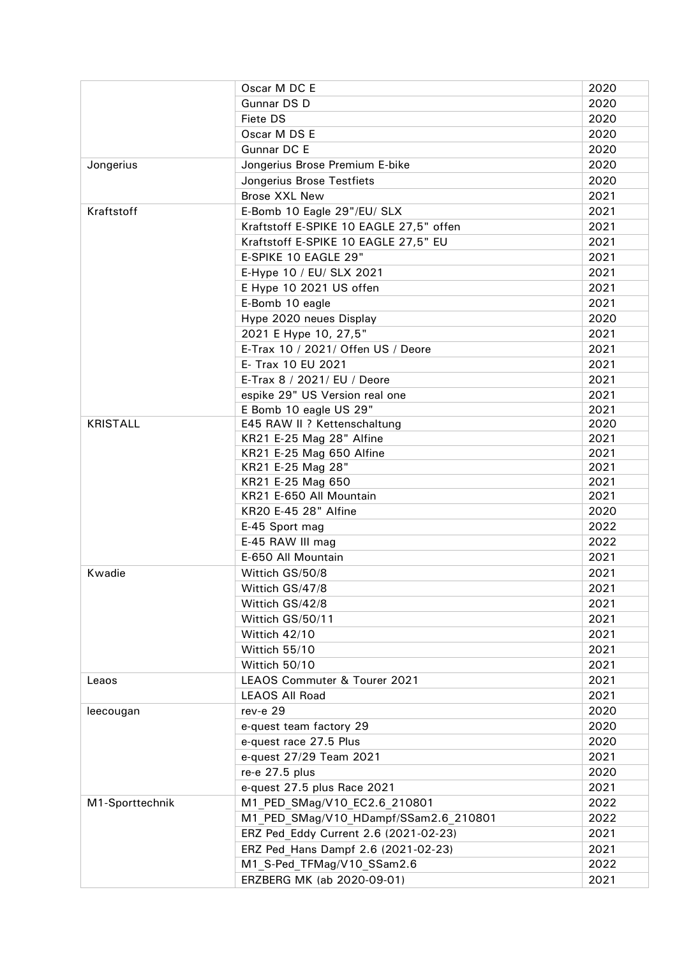|                 | Oscar M DC E                            | 2020 |
|-----------------|-----------------------------------------|------|
|                 | Gunnar DS D                             | 2020 |
|                 | <b>Fiete DS</b>                         | 2020 |
|                 | Oscar M DS E                            | 2020 |
|                 | Gunnar DC E                             | 2020 |
| Jongerius       | Jongerius Brose Premium E-bike          | 2020 |
|                 | Jongerius Brose Testfiets               | 2020 |
|                 | <b>Brose XXL New</b>                    | 2021 |
| Kraftstoff      | E-Bomb 10 Eagle 29"/EU/ SLX             | 2021 |
|                 | Kraftstoff E-SPIKE 10 EAGLE 27,5" offen | 2021 |
|                 | Kraftstoff E-SPIKE 10 EAGLE 27,5" EU    | 2021 |
|                 | E-SPIKE 10 EAGLE 29"                    | 2021 |
|                 | E-Hype 10 / EU/ SLX 2021                | 2021 |
|                 | E Hype 10 2021 US offen                 | 2021 |
|                 | E-Bomb 10 eagle                         | 2021 |
|                 | Hype 2020 neues Display                 | 2020 |
|                 | 2021 E Hype 10, 27,5"                   | 2021 |
|                 | E-Trax 10 / 2021/ Offen US / Deore      | 2021 |
|                 | E- Trax 10 EU 2021                      | 2021 |
|                 | E-Trax 8 / 2021/ EU / Deore             | 2021 |
|                 | espike 29" US Version real one          | 2021 |
|                 | E Bomb 10 eagle US 29"                  | 2021 |
| <b>KRISTALL</b> | E45 RAW II ? Kettenschaltung            | 2020 |
|                 | KR21 E-25 Mag 28" Alfine                | 2021 |
|                 | KR21 E-25 Mag 650 Alfine                | 2021 |
|                 | KR21 E-25 Mag 28"                       | 2021 |
|                 | KR21 E-25 Mag 650                       | 2021 |
|                 | KR21 E-650 All Mountain                 | 2021 |
|                 | KR20 E-45 28" Alfine                    | 2020 |
|                 | E-45 Sport mag                          | 2022 |
|                 | E-45 RAW III mag                        | 2022 |
|                 | E-650 All Mountain                      | 2021 |
| Kwadie          | Wittich GS/50/8                         | 2021 |
|                 | Wittich GS/47/8                         | 2021 |
|                 | Wittich GS/42/8                         | 2021 |
|                 | Wittich GS/50/11                        | 2021 |
|                 | Wittich 42/10                           | 2021 |
|                 | Wittich 55/10                           | 2021 |
|                 | Wittich 50/10                           | 2021 |
| Leaos           | LEAOS Commuter & Tourer 2021            | 2021 |
|                 | <b>LEAOS All Road</b>                   | 2021 |
| leecougan       | rev-e 29                                | 2020 |
|                 | e-quest team factory 29                 | 2020 |
|                 | e-quest race 27.5 Plus                  | 2020 |
|                 | e-quest 27/29 Team 2021                 | 2021 |
|                 | re-e 27.5 plus                          | 2020 |
|                 | e-quest 27.5 plus Race 2021             | 2021 |
| M1-Sporttechnik | M1 PED SMag/V10 EC2.6 210801            | 2022 |
|                 | M1 PED SMag/V10 HDampf/SSam2.6 210801   | 2022 |
|                 | ERZ Ped Eddy Current 2.6 (2021-02-23)   | 2021 |
|                 | ERZ Ped Hans Dampf 2.6 (2021-02-23)     | 2021 |
|                 | M1 S-Ped TFMag/V10 SSam2.6              | 2022 |
|                 | ERZBERG MK (ab 2020-09-01)              | 2021 |
|                 |                                         |      |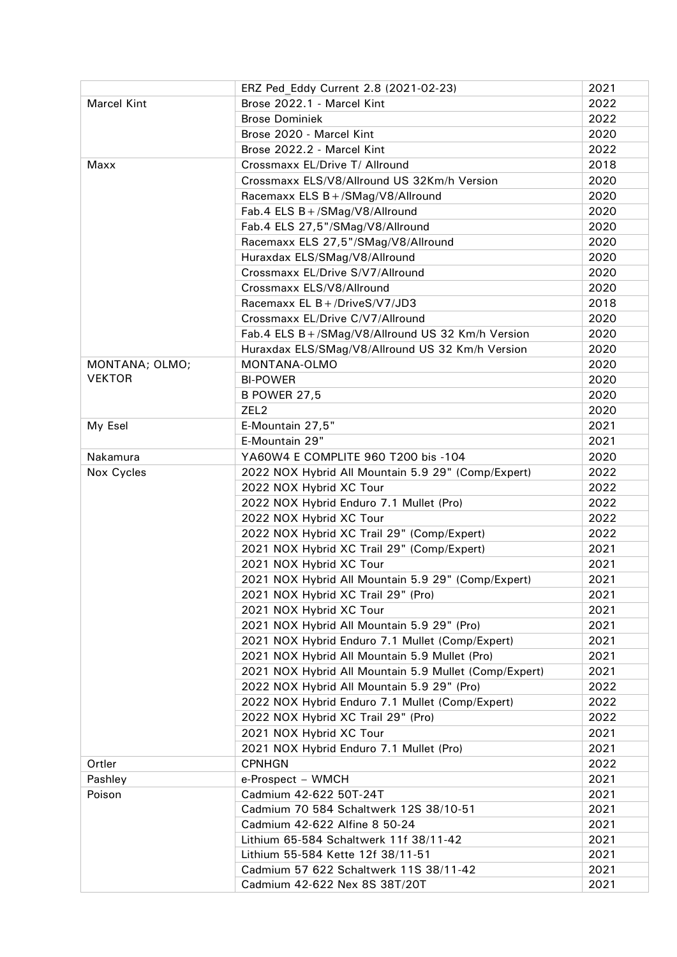|                    | ERZ Ped Eddy Current 2.8 (2021-02-23)                 | 2021 |
|--------------------|-------------------------------------------------------|------|
| <b>Marcel Kint</b> | Brose 2022.1 - Marcel Kint                            | 2022 |
|                    | <b>Brose Dominiek</b>                                 | 2022 |
|                    | Brose 2020 - Marcel Kint                              | 2020 |
|                    | Brose 2022.2 - Marcel Kint                            | 2022 |
| Maxx               | Crossmaxx EL/Drive T/ Allround                        | 2018 |
|                    | Crossmaxx ELS/V8/Allround US 32Km/h Version           | 2020 |
|                    | Racemaxx ELS B + /SMag/V8/Allround                    | 2020 |
|                    | Fab.4 ELS B + / SMag/V8/Allround                      | 2020 |
|                    | Fab.4 ELS 27,5"/SMag/V8/Allround                      | 2020 |
|                    | Racemaxx ELS 27,5"/SMag/V8/Allround                   | 2020 |
|                    | Huraxdax ELS/SMag/V8/Allround                         | 2020 |
|                    | Crossmaxx EL/Drive S/V7/Allround                      | 2020 |
|                    | Crossmaxx ELS/V8/Allround                             | 2020 |
|                    | Racemaxx EL B + /DriveS/V7/JD3                        | 2018 |
|                    | Crossmaxx EL/Drive C/V7/Allround                      | 2020 |
|                    | Fab.4 ELS B + / SMag/V8/Allround US 32 Km/h Version   | 2020 |
|                    | Huraxdax ELS/SMag/V8/Allround US 32 Km/h Version      | 2020 |
| MONTANA; OLMO;     | MONTANA-OLMO                                          | 2020 |
| <b>VEKTOR</b>      | <b>BI-POWER</b>                                       | 2020 |
|                    | <b>B POWER 27,5</b>                                   | 2020 |
|                    | ZEL <sub>2</sub>                                      | 2020 |
| My Esel            | E-Mountain 27,5"                                      | 2021 |
|                    | E-Mountain 29"                                        | 2021 |
| Nakamura           | YA60W4 E COMPLITE 960 T200 bis -104                   | 2020 |
| Nox Cycles         | 2022 NOX Hybrid All Mountain 5.9 29" (Comp/Expert)    | 2022 |
|                    | 2022 NOX Hybrid XC Tour                               | 2022 |
|                    | 2022 NOX Hybrid Enduro 7.1 Mullet (Pro)               | 2022 |
|                    | 2022 NOX Hybrid XC Tour                               | 2022 |
|                    | 2022 NOX Hybrid XC Trail 29" (Comp/Expert)            | 2022 |
|                    | 2021 NOX Hybrid XC Trail 29" (Comp/Expert)            | 2021 |
|                    | 2021 NOX Hybrid XC Tour                               | 2021 |
|                    | 2021 NOX Hybrid All Mountain 5.9 29" (Comp/Expert)    | 2021 |
|                    | 2021 NOX Hybrid XC Trail 29" (Pro)                    | 2021 |
|                    | 2021 NOX Hybrid XC Tour                               | 2021 |
|                    | 2021 NOX Hybrid All Mountain 5.9 29" (Pro)            | 2021 |
|                    | 2021 NOX Hybrid Enduro 7.1 Mullet (Comp/Expert)       | 2021 |
|                    | 2021 NOX Hybrid All Mountain 5.9 Mullet (Pro)         | 2021 |
|                    | 2021 NOX Hybrid All Mountain 5.9 Mullet (Comp/Expert) | 2021 |
|                    | 2022 NOX Hybrid All Mountain 5.9 29" (Pro)            | 2022 |
|                    | 2022 NOX Hybrid Enduro 7.1 Mullet (Comp/Expert)       | 2022 |
|                    | 2022 NOX Hybrid XC Trail 29" (Pro)                    | 2022 |
|                    | 2021 NOX Hybrid XC Tour                               | 2021 |
|                    | 2021 NOX Hybrid Enduro 7.1 Mullet (Pro)               | 2021 |
| Ortler             | <b>CPNHGN</b>                                         | 2022 |
| Pashley            | e-Prospect - WMCH                                     | 2021 |
| Poison             | Cadmium 42-622 50T-24T                                | 2021 |
|                    | Cadmium 70 584 Schaltwerk 12S 38/10-51                | 2021 |
|                    | Cadmium 42-622 Alfine 8 50-24                         | 2021 |
|                    | Lithium 65-584 Schaltwerk 11f 38/11-42                | 2021 |
|                    | Lithium 55-584 Kette 12f 38/11-51                     | 2021 |
|                    | Cadmium 57 622 Schaltwerk 11S 38/11-42                | 2021 |
|                    | Cadmium 42-622 Nex 8S 38T/20T                         | 2021 |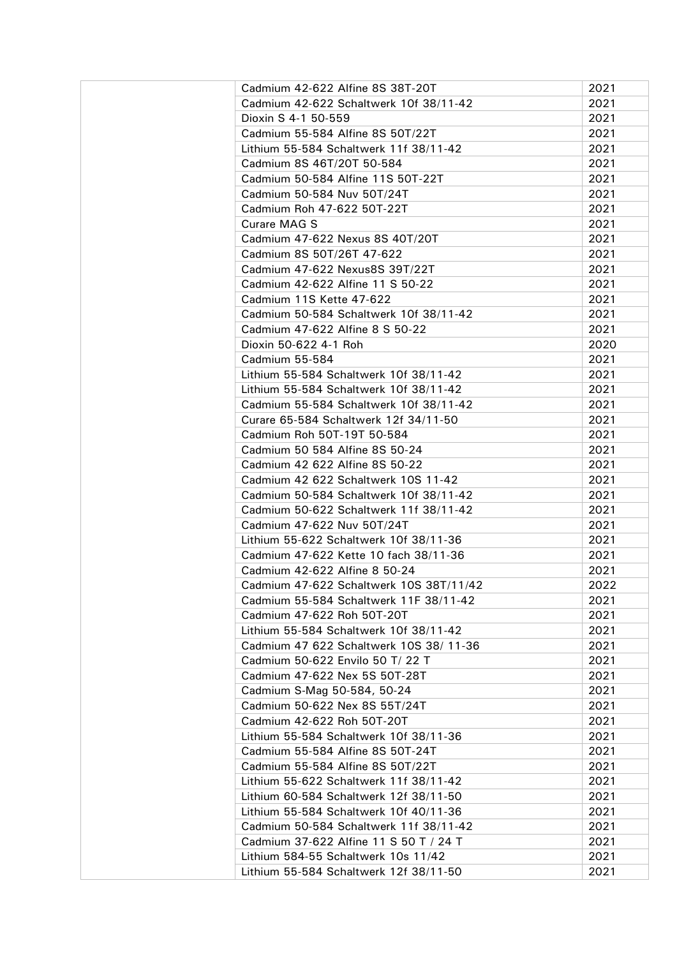| Cadmium 42-622 Alfine 8S 38T-20T        | 2021 |
|-----------------------------------------|------|
| Cadmium 42-622 Schaltwerk 10f 38/11-42  | 2021 |
| Dioxin S 4-1 50-559                     | 2021 |
| Cadmium 55-584 Alfine 8S 50T/22T        | 2021 |
| Lithium 55-584 Schaltwerk 11f 38/11-42  | 2021 |
| Cadmium 8S 46T/20T 50-584               | 2021 |
| Cadmium 50-584 Alfine 11S 50T-22T       | 2021 |
| Cadmium 50-584 Nuv 50T/24T              | 2021 |
| Cadmium Roh 47-622 50T-22T              | 2021 |
| Curare MAG S                            | 2021 |
| Cadmium 47-622 Nexus 8S 40T/20T         | 2021 |
| Cadmium 8S 50T/26T 47-622               | 2021 |
| Cadmium 47-622 Nexus8S 39T/22T          | 2021 |
| Cadmium 42-622 Alfine 11 S 50-22        | 2021 |
| Cadmium 11S Kette 47-622                | 2021 |
| Cadmium 50-584 Schaltwerk 10f 38/11-42  | 2021 |
| Cadmium 47-622 Alfine 8 S 50-22         | 2021 |
|                                         |      |
| Dioxin 50-622 4-1 Roh                   | 2020 |
| Cadmium 55-584                          | 2021 |
| Lithium 55-584 Schaltwerk 10f 38/11-42  | 2021 |
| Lithium 55-584 Schaltwerk 10f 38/11-42  | 2021 |
| Cadmium 55-584 Schaltwerk 10f 38/11-42  | 2021 |
| Curare 65-584 Schaltwerk 12f 34/11-50   | 2021 |
| Cadmium Roh 50T-19T 50-584              | 2021 |
| Cadmium 50 584 Alfine 8S 50-24          | 2021 |
| Cadmium 42 622 Alfine 8S 50-22          | 2021 |
| Cadmium 42 622 Schaltwerk 10S 11-42     | 2021 |
| Cadmium 50-584 Schaltwerk 10f 38/11-42  | 2021 |
| Cadmium 50-622 Schaltwerk 11f 38/11-42  | 2021 |
| Cadmium 47-622 Nuv 50T/24T              | 2021 |
| Lithium 55-622 Schaltwerk 10f 38/11-36  | 2021 |
| Cadmium 47-622 Kette 10 fach 38/11-36   | 2021 |
| Cadmium 42-622 Alfine 8 50-24           | 2021 |
| Cadmium 47-622 Schaltwerk 10S 38T/11/42 | 2022 |
| Cadmium 55-584 Schaltwerk 11F 38/11-42  | 2021 |
| Cadmium 47-622 Roh 50T-20T              | 2021 |
| Lithium 55-584 Schaltwerk 10f 38/11-42  | 2021 |
| Cadmium 47 622 Schaltwerk 10S 38/11-36  | 2021 |
| Cadmium 50-622 Envilo 50 T/ 22 T        | 2021 |
| Cadmium 47-622 Nex 5S 50T-28T           | 2021 |
| Cadmium S-Mag 50-584, 50-24             | 2021 |
| Cadmium 50-622 Nex 8S 55T/24T           | 2021 |
| Cadmium 42-622 Roh 50T-20T              | 2021 |
| Lithium 55-584 Schaltwerk 10f 38/11-36  | 2021 |
| Cadmium 55-584 Alfine 8S 50T-24T        | 2021 |
| Cadmium 55-584 Alfine 8S 50T/22T        | 2021 |
| Lithium 55-622 Schaltwerk 11f 38/11-42  | 2021 |
| Lithium 60-584 Schaltwerk 12f 38/11-50  | 2021 |
| Lithium 55-584 Schaltwerk 10f 40/11-36  | 2021 |
| Cadmium 50-584 Schaltwerk 11f 38/11-42  | 2021 |
| Cadmium 37-622 Alfine 11 S 50 T / 24 T  | 2021 |
| Lithium 584-55 Schaltwerk 10s 11/42     | 2021 |
| Lithium 55-584 Schaltwerk 12f 38/11-50  | 2021 |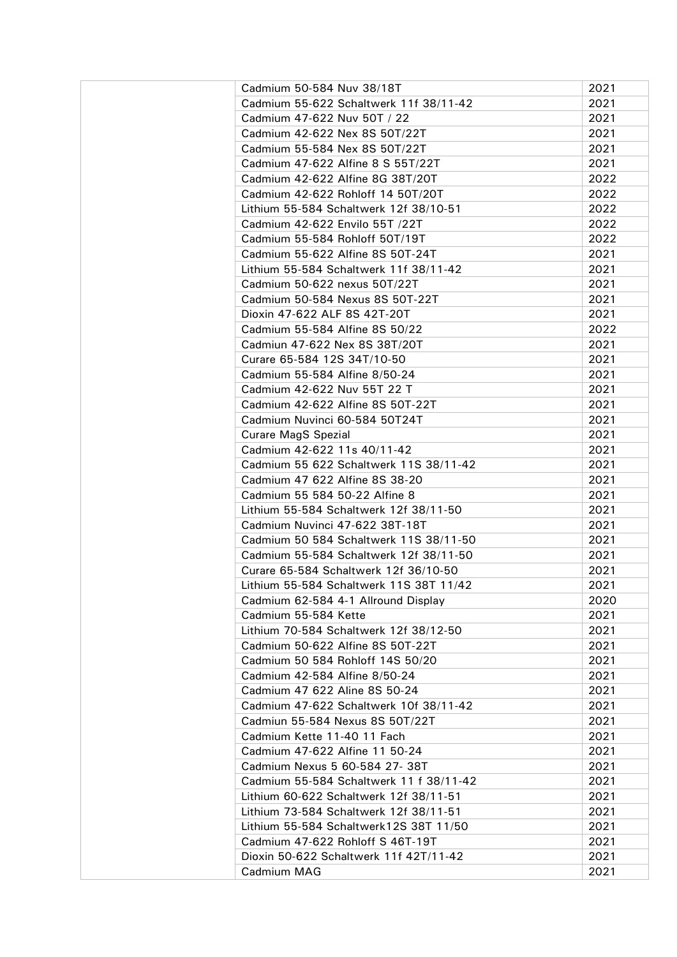| Cadmium 50-584 Nuv 38/18T                                         | 2021 |
|-------------------------------------------------------------------|------|
| Cadmium 55-622 Schaltwerk 11f 38/11-42                            | 2021 |
| Cadmium 47-622 Nuv 50T / 22                                       | 2021 |
| Cadmium 42-622 Nex 8S 50T/22T                                     | 2021 |
| Cadmium 55-584 Nex 8S 50T/22T                                     | 2021 |
| Cadmium 47-622 Alfine 8 S 55T/22T                                 | 2021 |
| Cadmium 42-622 Alfine 8G 38T/20T                                  | 2022 |
| Cadmium 42-622 Rohloff 14 50T/20T                                 | 2022 |
| Lithium 55-584 Schaltwerk 12f 38/10-51                            | 2022 |
| Cadmium 42-622 Envilo 55T /22T                                    | 2022 |
| Cadmium 55-584 Rohloff 50T/19T                                    | 2022 |
| Cadmium 55-622 Alfine 8S 50T-24T                                  | 2021 |
| Lithium 55-584 Schaltwerk 11f 38/11-42                            | 2021 |
| Cadmium 50-622 nexus 50T/22T                                      | 2021 |
| Cadmium 50-584 Nexus 8S 50T-22T                                   | 2021 |
| Dioxin 47-622 ALF 8S 42T-20T                                      | 2021 |
| Cadmium 55-584 Alfine 8S 50/22                                    | 2022 |
| Cadmiun 47-622 Nex 8S 38T/20T                                     | 2021 |
| Curare 65-584 12S 34T/10-50                                       | 2021 |
| Cadmium 55-584 Alfine 8/50-24                                     | 2021 |
| Cadmium 42-622 Nuv 55T 22 T                                       | 2021 |
| Cadmium 42-622 Alfine 8S 50T-22T                                  | 2021 |
| Cadmium Nuvinci 60-584 50T24T                                     | 2021 |
| <b>Curare MagS Spezial</b>                                        | 2021 |
| Cadmium 42-622 11s 40/11-42                                       | 2021 |
| Cadmium 55 622 Schaltwerk 11S 38/11-42                            | 2021 |
| Cadmium 47 622 Alfine 8S 38-20                                    | 2021 |
| Cadmium 55 584 50-22 Alfine 8                                     | 2021 |
| Lithium 55-584 Schaltwerk 12f 38/11-50                            | 2021 |
| Cadmium Nuvinci 47-622 38T-18T                                    | 2021 |
| Cadmium 50 584 Schaltwerk 11S 38/11-50                            | 2021 |
| Cadmium 55-584 Schaltwerk 12f 38/11-50                            | 2021 |
| Curare 65-584 Schaltwerk 12f 36/10-50                             | 2021 |
| Lithium 55-584 Schaltwerk 11S 38T 11/42                           | 2021 |
| Cadmium 62-584 4-1 Allround Display                               | 2020 |
| Cadmium 55-584 Kette                                              | 2021 |
| Lithium 70-584 Schaltwerk 12f 38/12-50                            | 2021 |
| Cadmium 50-622 Alfine 8S 50T-22T                                  | 2021 |
|                                                                   | 2021 |
| Cadmium 50 584 Rohloff 14S 50/20<br>Cadmium 42-584 Alfine 8/50-24 |      |
|                                                                   | 2021 |
| Cadmium 47 622 Aline 8S 50-24                                     | 2021 |
| Cadmium 47-622 Schaltwerk 10f 38/11-42                            | 2021 |
| Cadmiun 55-584 Nexus 8S 50T/22T                                   | 2021 |
| Cadmium Kette 11-40 11 Fach                                       | 2021 |
| Cadmium 47-622 Alfine 11 50-24                                    | 2021 |
| Cadmium Nexus 5 60-584 27-38T                                     | 2021 |
| Cadmium 55-584 Schaltwerk 11 f 38/11-42                           | 2021 |
| Lithium 60-622 Schaltwerk 12f 38/11-51                            | 2021 |
| Lithium 73-584 Schaltwerk 12f 38/11-51                            | 2021 |
| Lithium 55-584 Schaltwerk12S 38T 11/50                            | 2021 |
| Cadmium 47-622 Rohloff S 46T-19T                                  | 2021 |
| Dioxin 50-622 Schaltwerk 11f 42T/11-42                            | 2021 |
| Cadmium MAG                                                       | 2021 |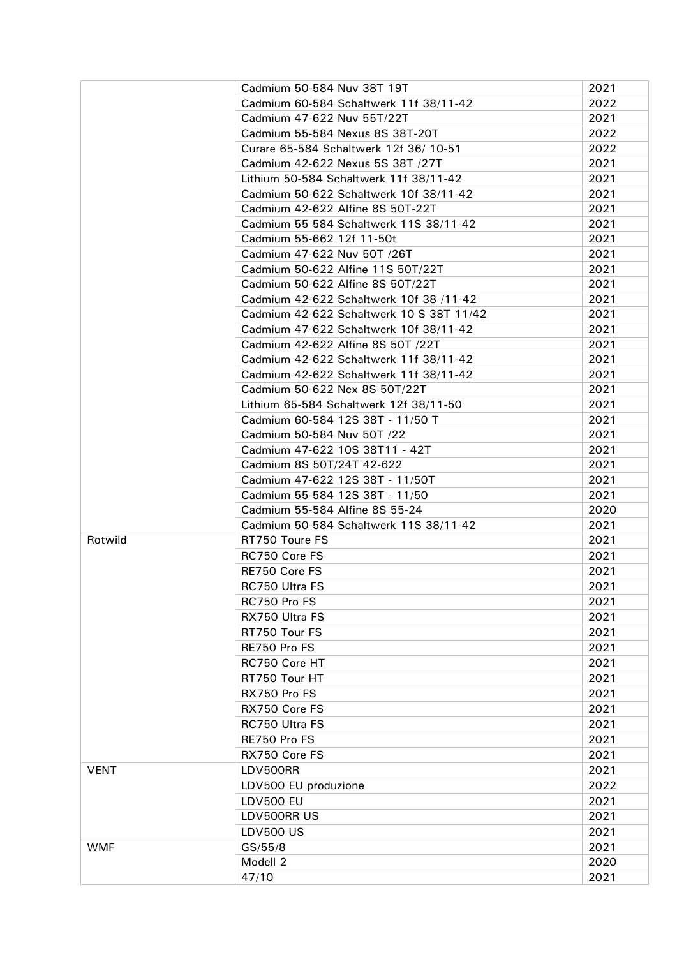|             | Cadmium 50-584 Nuv 38T 19T               | 2021 |
|-------------|------------------------------------------|------|
|             | Cadmium 60-584 Schaltwerk 11f 38/11-42   | 2022 |
|             | Cadmium 47-622 Nuv 55T/22T               | 2021 |
|             | Cadmium 55-584 Nexus 8S 38T-20T          | 2022 |
|             | Curare 65-584 Schaltwerk 12f 36/10-51    | 2022 |
|             | Cadmium 42-622 Nexus 5S 38T /27T         | 2021 |
|             | Lithium 50-584 Schaltwerk 11f 38/11-42   | 2021 |
|             | Cadmium 50-622 Schaltwerk 10f 38/11-42   | 2021 |
|             | Cadmium 42-622 Alfine 8S 50T-22T         | 2021 |
|             | Cadmium 55 584 Schaltwerk 11S 38/11-42   | 2021 |
|             | Cadmium 55-662 12f 11-50t                | 2021 |
|             | Cadmium 47-622 Nuv 50T /26T              | 2021 |
|             | Cadmium 50-622 Alfine 11S 50T/22T        | 2021 |
|             | Cadmium 50-622 Alfine 8S 50T/22T         | 2021 |
|             | Cadmium 42-622 Schaltwerk 10f 38 /11-42  | 2021 |
|             | Cadmium 42-622 Schaltwerk 10 S 38T 11/42 | 2021 |
|             | Cadmium 47-622 Schaltwerk 10f 38/11-42   | 2021 |
|             | Cadmium 42-622 Alfine 8S 50T /22T        | 2021 |
|             | Cadmium 42-622 Schaltwerk 11f 38/11-42   | 2021 |
|             | Cadmium 42-622 Schaltwerk 11f 38/11-42   | 2021 |
|             | Cadmium 50-622 Nex 8S 50T/22T            | 2021 |
|             | Lithium 65-584 Schaltwerk 12f 38/11-50   | 2021 |
|             | Cadmium 60-584 12S 38T - 11/50 T         | 2021 |
|             | Cadmium 50-584 Nuv 50T /22               | 2021 |
|             | Cadmium 47-622 10S 38T11 - 42T           | 2021 |
|             | Cadmium 8S 50T/24T 42-622                | 2021 |
|             | Cadmium 47-622 12S 38T - 11/50T          | 2021 |
|             | Cadmium 55-584 12S 38T - 11/50           | 2021 |
|             | Cadmium 55-584 Alfine 8S 55-24           | 2020 |
|             | Cadmium 50-584 Schaltwerk 11S 38/11-42   | 2021 |
| Rotwild     | RT750 Toure FS                           | 2021 |
|             | RC750 Core FS                            | 2021 |
|             | RE750 Core FS                            | 2021 |
|             | <b>RC750 Ultra FS</b>                    | 2021 |
|             | RC750 Pro FS                             | 2021 |
|             | RX750 Ultra FS                           | 2021 |
|             | RT750 Tour FS                            | 2021 |
|             | RE750 Pro FS                             | 2021 |
|             | RC750 Core HT                            | 2021 |
|             | RT750 Tour HT                            | 2021 |
|             | RX750 Pro FS                             | 2021 |
|             | RX750 Core FS                            | 2021 |
|             | RC750 Ultra FS                           | 2021 |
|             | RE750 Pro FS                             | 2021 |
|             | RX750 Core FS                            | 2021 |
| <b>VENT</b> | LDV500RR                                 | 2021 |
|             | LDV500 EU produzione                     | 2022 |
|             | <b>LDV500 EU</b>                         | 2021 |
|             | LDV500RR US                              | 2021 |
|             | <b>LDV500 US</b>                         | 2021 |
| <b>WMF</b>  | GS/55/8                                  | 2021 |
|             | Modell 2                                 | 2020 |
|             | 47/10                                    | 2021 |